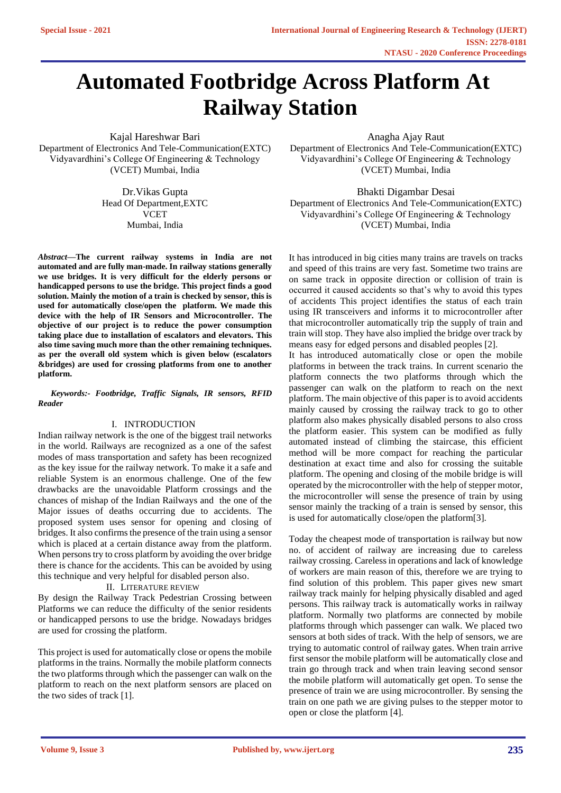# **Automated Footbridge Across Platform At Railway Station**

Kajal Hareshwar Bari Department of Electronics And Tele-Communication(EXTC) Vidyavardhini's College Of Engineering & Technology (VCET) Mumbai, India

> Dr.Vikas Gupta Head Of Department,EXTC **VCET** Mumbai, India

*Abstract***—The current railway systems in India are not automated and are fully man-made. In railway stations generally we use bridges. It is very difficult for the elderly persons or handicapped persons to use the bridge. This project finds a good solution. Mainly the motion of a train is checked by sensor, this is used for automatically close/open the platform. We made this device with the help of IR Sensors and Microcontroller. The objective of our project is to reduce the power consumption taking place due to installation of escalators and elevators. This also time saving much more than the other remaining techniques. as per the overall old system which is given below (escalators &bridges) are used for crossing platforms from one to another platform.**

*Keywords:- Footbridge, Traffic Signals, IR sensors, RFID Reader*

### I. INTRODUCTION

Indian railway network is the one of the biggest trail networks in the world. Railways are recognized as a one of the safest modes of mass transportation and safety has been recognized as the key issue for the railway network. To make it a safe and reliable System is an enormous challenge. One of the few drawbacks are the unavoidable Platform crossings and the chances of mishap of the Indian Railways and the one of the Major issues of deaths occurring due to accidents. The proposed system uses sensor for opening and closing of bridges. It also confirms the presence of the train using a sensor which is placed at a certain distance away from the platform. When persons try to cross platform by avoiding the over bridge there is chance for the accidents. This can be avoided by using this technique and very helpful for disabled person also.

II. LITERATURE REVIEW

By design the Railway Track Pedestrian Crossing between Platforms we can reduce the difficulty of the senior residents or handicapped persons to use the bridge. Nowadays bridges are used for crossing the platform.

This project is used for automatically close or opens the mobile platforms in the trains. Normally the mobile platform connects the two platforms through which the passenger can walk on the platform to reach on the next platform sensors are placed on the two sides of track [1].

Anagha Ajay Raut

Department of Electronics And Tele-Communication(EXTC) Vidyavardhini's College Of Engineering & Technology (VCET) Mumbai, India

Bhakti Digambar Desai Department of Electronics And Tele-Communication(EXTC) Vidyavardhini's College Of Engineering & Technology (VCET) Mumbai, India

It has introduced in big cities many trains are travels on tracks and speed of this trains are very fast. Sometime two trains are on same track in opposite direction or collision of train is occurred it caused accidents so that's why to avoid this types of accidents This project identifies the status of each train using IR transceivers and informs it to microcontroller after that microcontroller automatically trip the supply of train and train will stop. They have also implied the bridge over track by means easy for edged persons and disabled peoples [2].

It has introduced automatically close or open the mobile platforms in between the track trains. In current scenario the platform connects the two platforms through which the passenger can walk on the platform to reach on the next platform. The main objective of this paper is to avoid accidents mainly caused by crossing the railway track to go to other platform also makes physically disabled persons to also cross the platform easier. This system can be modified as fully automated instead of climbing the staircase, this efficient method will be more compact for reaching the particular destination at exact time and also for crossing the suitable platform. The opening and closing of the mobile bridge is will operated by the microcontroller with the help of stepper motor, the microcontroller will sense the presence of train by using sensor mainly the tracking of a train is sensed by sensor, this is used for automatically close/open the platform[3].

Today the cheapest mode of transportation is railway but now no. of accident of railway are increasing due to careless railway crossing. Careless in operations and lack of knowledge of workers are main reason of this, therefore we are trying to find solution of this problem. This paper gives new smart railway track mainly for helping physically disabled and aged persons. This railway track is automatically works in railway platform. Normally two platforms are connected by mobile platforms through which passenger can walk. We placed two sensors at both sides of track. With the help of sensors, we are trying to automatic control of railway gates. When train arrive first sensor the mobile platform will be automatically close and train go through track and when train leaving second sensor the mobile platform will automatically get open. To sense the presence of train we are using microcontroller. By sensing the train on one path we are giving pulses to the stepper motor to open or close the platform [4].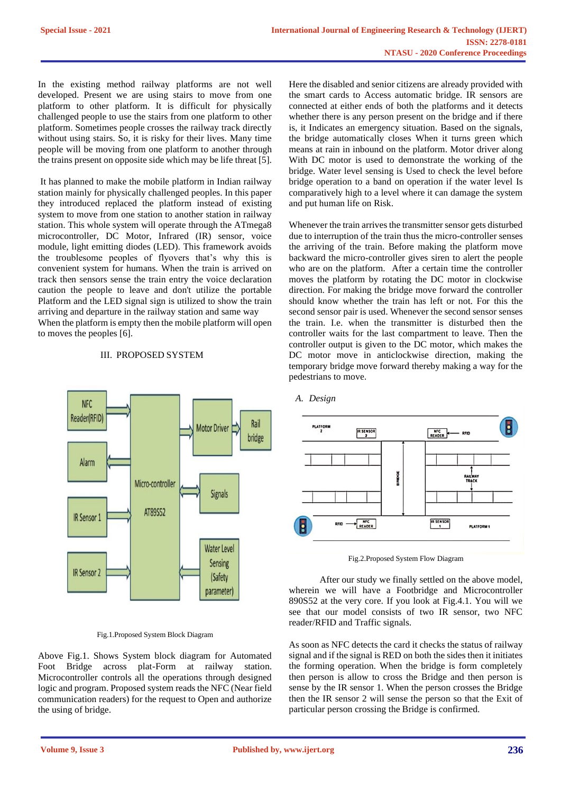In the existing method railway platforms are not well developed. Present we are using stairs to move from one platform to other platform. It is difficult for physically challenged people to use the stairs from one platform to other platform. Sometimes people crosses the railway track directly without using stairs. So, it is risky for their lives. Many time people will be moving from one platform to another through the trains present on opposite side which may be life threat [5].

It has planned to make the mobile platform in Indian railway station mainly for physically challenged peoples. In this paper they introduced replaced the platform instead of existing system to move from one station to another station in railway station. This whole system will operate through the ATmega8 microcontroller, DC Motor, Infrared (IR) sensor, voice module, light emitting diodes (LED). This framework avoids the troublesome peoples of flyovers that's why this is convenient system for humans. When the train is arrived on track then sensors sense the train entry the voice declaration caution the people to leave and don't utilize the portable Platform and the LED signal sign is utilized to show the train arriving and departure in the railway station and same way When the platform is empty then the mobile platform will open to moves the peoples [6].

## III. PROPOSED SYSTEM



Fig.1.Proposed System Block Diagram

Above Fig.1. Shows System block diagram for Automated Foot Bridge across plat-Form at railway station. Microcontroller controls all the operations through designed logic and program. Proposed system reads the NFC (Near field communication readers) for the request to Open and authorize the using of bridge.

Here the disabled and senior citizens are already provided with the smart cards to Access automatic bridge. IR sensors are connected at either ends of both the platforms and it detects whether there is any person present on the bridge and if there is, it Indicates an emergency situation. Based on the signals, the bridge automatically closes When it turns green which means at rain in inbound on the platform. Motor driver along With DC motor is used to demonstrate the working of the bridge. Water level sensing is Used to check the level before bridge operation to a band on operation if the water level Is comparatively high to a level where it can damage the system and put human life on Risk.

Whenever the train arrives the transmitter sensor gets disturbed due to interruption of the train thus the micro-controller senses the arriving of the train. Before making the platform move backward the micro-controller gives siren to alert the people who are on the platform. After a certain time the controller moves the platform by rotating the DC motor in clockwise direction. For making the bridge move forward the controller should know whether the train has left or not. For this the second sensor pair is used. Whenever the second sensor senses the train. I.e. when the transmitter is disturbed then the controller waits for the last compartment to leave. Then the controller output is given to the DC motor, which makes the DC motor move in anticlockwise direction, making the temporary bridge move forward thereby making a way for the pedestrians to move.



## *A. Design*

Fig.2.Proposed System Flow Diagram

 After our study we finally settled on the above model, wherein we will have a Footbridge and Microcontroller 890S52 at the very core. If you look at Fig.4.1. You will we see that our model consists of two IR sensor, two NFC reader/RFID and Traffic signals.

As soon as NFC detects the card it checks the status of railway signal and if the signal is RED on both the sides then it initiates the forming operation. When the bridge is form completely then person is allow to cross the Bridge and then person is sense by the IR sensor 1. When the person crosses the Bridge then the IR sensor 2 will sense the person so that the Exit of particular person crossing the Bridge is confirmed.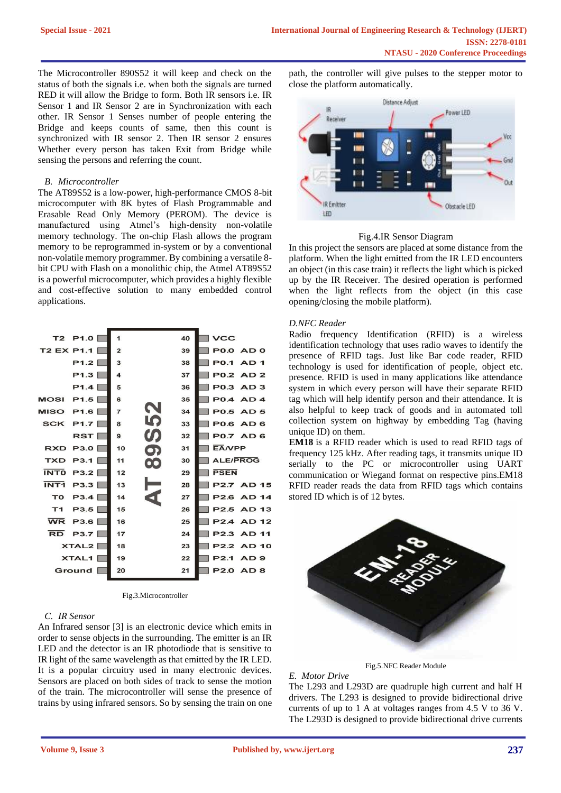The Microcontroller 890S52 it will keep and check on the status of both the signals i.e. when both the signals are turned RED it will allow the Bridge to form. Both IR sensors i.e. IR Sensor 1 and IR Sensor 2 are in Synchronization with each other. IR Sensor 1 Senses number of people entering the Bridge and keeps counts of same, then this count is synchronized with IR sensor 2. Then IR sensor 2 ensures Whether every person has taken Exit from Bridge while sensing the persons and referring the count.

#### *B. Microcontroller*

The AT89S52 is a low-power, high-performance CMOS 8-bit microcomputer with 8K bytes of Flash Programmable and Erasable Read Only Memory (PEROM). The device is manufactured using Atmel's high-density non-volatile memory technology. The on-chip Flash allows the program memory to be reprogrammed in-system or by a conventional non-volatile memory programmer. By combining a versatile 8 bit CPU with Flash on a monolithic chip, the Atmel AT89S52 is a powerful microcomputer, which provides a highly flexible and cost-effective solution to many embedded control applications.



Fig.3.Microcontroller

## *C. IR Sensor*

An Infrared sensor [3] is an electronic device which emits in order to sense objects in the surrounding. The emitter is an IR LED and the detector is an IR photodiode that is sensitive to IR light of the same wavelength as that emitted by the IR LED. It is a popular circuitry used in many electronic devices. Sensors are placed on both sides of track to sense the motion of the train. The microcontroller will sense the presence of trains by using infrared sensors. So by sensing the train on one

path, the controller will give pulses to the stepper motor to close the platform automatically.



#### Fig.4.IR Sensor Diagram

In this project the sensors are placed at some distance from the platform. When the light emitted from the IR LED encounters an object (in this case train) it reflects the light which is picked up by the IR Receiver. The desired operation is performed when the light reflects from the object (in this case opening/closing the mobile platform).

#### *D.NFC Reader*

Radio frequency Identification (RFID) is a wireless identification technology that uses radio waves to identify the presence of RFID tags. Just like Bar code reader, RFID technology is used for identification of people, object etc. presence. RFID is used in many applications like attendance system in which every person will have their separate RFID tag which will help identify person and their attendance. It is also helpful to keep track of goods and in automated toll collection system on highway by embedding Tag (having unique ID) on them.

**EM18** is a RFID reader which is used to read RFID tags of frequency 125 kHz. After reading tags, it transmits unique ID serially to the PC or microcontroller using UART communication or Wiegand format on respective pins.EM18 RFID reader reads the data from RFID tags which contains stored ID which is of 12 bytes.



Fig.5.NFC Reader Module

The L293 and L293D are quadruple high current and half H drivers. The L293 is designed to provide bidirectional drive currents of up to 1 A at voltages ranges from 4.5 V to 36 V. The L293D is designed to provide bidirectional drive currents

*E. Motor Drive*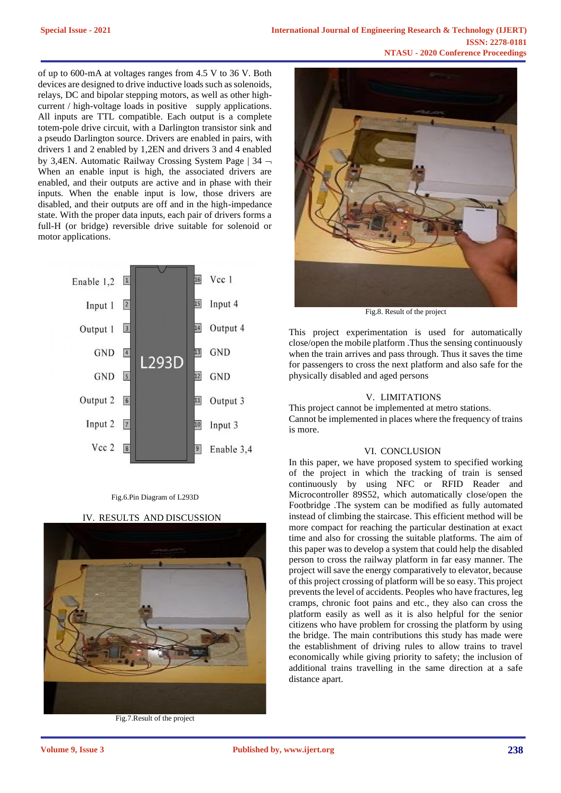of up to 600-mA at voltages ranges from 4.5 V to 36 V. Both devices are designed to drive inductive loads such as solenoids, relays, DC and bipolar stepping motors, as well as other highcurrent / high-voltage loads in positive supply applications. All inputs are TTL compatible. Each output is a complete totem-pole drive circuit, with a Darlington transistor sink and a pseudo Darlington source. Drivers are enabled in pairs, with drivers 1 and 2 enabled by 1,2EN and drivers 3 and 4 enabled by 3,4EN. Automatic Railway Crossing System Page | 34 When an enable input is high, the associated drivers are enabled, and their outputs are active and in phase with their inputs. When the enable input is low, those drivers are disabled, and their outputs are off and in the high-impedance state. With the proper data inputs, each pair of drivers forms a full-H (or bridge) reversible drive suitable for solenoid or motor applications.



#### Fig.6.Pin Diagram of L293D

IV. RESULTS AND DISCUSSION



Fig.7.Result of the project



Fig.8. Result of the project

This project experimentation is used for automatically close/open the mobile platform .Thus the sensing continuously when the train arrives and pass through. Thus it saves the time for passengers to cross the next platform and also safe for the physically disabled and aged persons

#### V. LIMITATIONS

This project cannot be implemented at metro stations. Cannot be implemented in places where the frequency of trains is more.

#### VI. CONCLUSION

In this paper, we have proposed system to specified working of the project in which the tracking of train is sensed continuously by using NFC or RFID Reader and Microcontroller 89S52, which automatically close/open the Footbridge .The system can be modified as fully automated instead of climbing the staircase. This efficient method will be more compact for reaching the particular destination at exact time and also for crossing the suitable platforms. The aim of this paper was to develop a system that could help the disabled person to cross the railway platform in far easy manner. The project will save the energy comparatively to elevator, because of this project crossing of platform will be so easy. This project prevents the level of accidents. Peoples who have fractures, leg cramps, chronic foot pains and etc., they also can cross the platform easily as well as it is also helpful for the senior citizens who have problem for crossing the platform by using the bridge. The main contributions this study has made were the establishment of driving rules to allow trains to travel economically while giving priority to safety; the inclusion of additional trains travelling in the same direction at a safe distance apart.